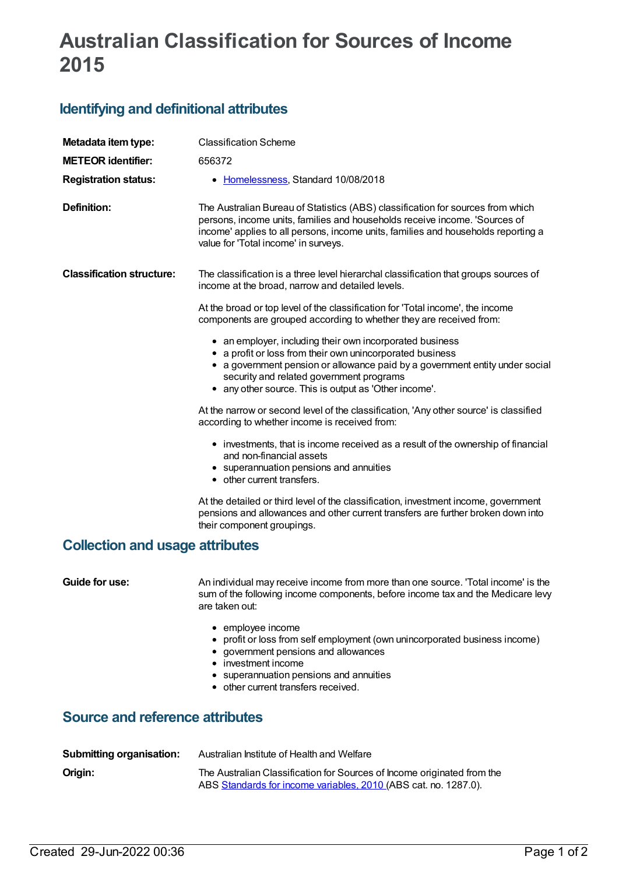## **Australian Classification for Sources of Income 2015**

## **Identifying and definitional attributes**

| Metadata item type:                    | <b>Classification Scheme</b>                                                                                                                                                                                                                                                                               |
|----------------------------------------|------------------------------------------------------------------------------------------------------------------------------------------------------------------------------------------------------------------------------------------------------------------------------------------------------------|
| <b>METEOR identifier:</b>              | 656372                                                                                                                                                                                                                                                                                                     |
| <b>Registration status:</b>            | • Homelessness, Standard 10/08/2018                                                                                                                                                                                                                                                                        |
| <b>Definition:</b>                     | The Australian Bureau of Statistics (ABS) classification for sources from which<br>persons, income units, families and households receive income. 'Sources of<br>income' applies to all persons, income units, families and households reporting a<br>value for 'Total income' in surveys.                 |
| <b>Classification structure:</b>       | The classification is a three level hierarchal classification that groups sources of<br>income at the broad, narrow and detailed levels.                                                                                                                                                                   |
|                                        | At the broad or top level of the classification for 'Total income', the income<br>components are grouped according to whether they are received from:                                                                                                                                                      |
|                                        | • an employer, including their own incorporated business<br>• a profit or loss from their own unincorporated business<br>• a government pension or allowance paid by a government entity under social<br>security and related government programs<br>• any other source. This is output as 'Other income'. |
|                                        | At the narrow or second level of the classification, 'Any other source' is classified<br>according to whether income is received from:                                                                                                                                                                     |
|                                        | • investments, that is income received as a result of the ownership of financial<br>and non-financial assets<br>• superannuation pensions and annuities<br>• other current transfers.                                                                                                                      |
|                                        | At the detailed or third level of the classification, investment income, government<br>pensions and allowances and other current transfers are further broken down into<br>their component groupings.                                                                                                      |
| <b>Collection and usage attributes</b> |                                                                                                                                                                                                                                                                                                            |
| Guide for use:                         | An individual may receive income from more than one source. 'Total income' is the<br>sum of the following income components, before income tax and the Medicare levy<br>are taken out:                                                                                                                     |
|                                        | • employee income<br>• profit or loss from self employment (own unincorporated business income)<br>• government pensions and allowances<br>• investment income<br>• superannuation pensions and annuities<br>• other current transfers received.                                                           |
| <b>Source and reference attributes</b> |                                                                                                                                                                                                                                                                                                            |
| <b>Submitting organisation:</b>        | Australian Institute of Health and Welfare                                                                                                                                                                                                                                                                 |
| Origin:                                | The Australian Classification for Sources of Income originated from the<br>ABS Standards for income variables, 2010 (ABS cat. no. 1287.0).                                                                                                                                                                 |